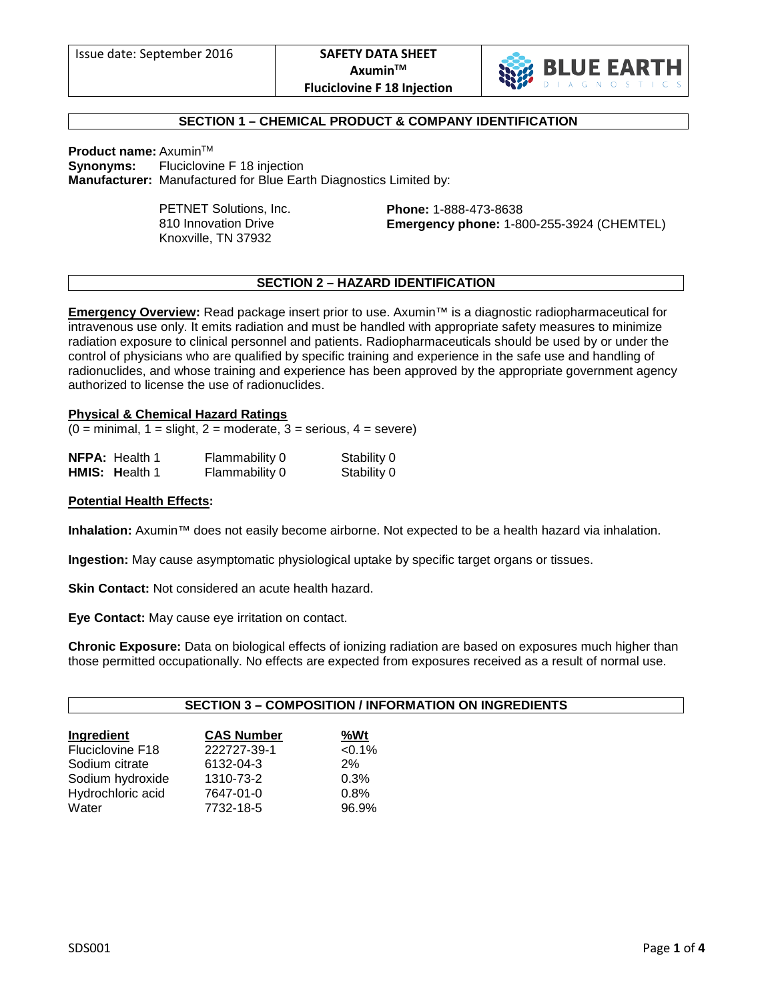

# **SECTION 1 – CHEMICAL PRODUCT & COMPANY IDENTIFICATION**

**Product name: Axumin™** 

**Synonyms:** Fluciclovine F 18 injection **Manufacturer:** Manufactured for Blue Earth Diagnostics Limited by:

> PETNET Solutions, Inc. 810 Innovation Drive Knoxville, TN 37932

**Phone:** 1-888-473-8638 **Emergency phone:** 1-800-255-3924 (CHEMTEL)

# **SECTION 2 – HAZARD IDENTIFICATION**

**Emergency Overview:** Read package insert prior to use. Axumin™ is a diagnostic radiopharmaceutical for intravenous use only. It emits radiation and must be handled with appropriate safety measures to minimize radiation exposure to clinical personnel and patients. Radiopharmaceuticals should be used by or under the control of physicians who are qualified by specific training and experience in the safe use and handling of radionuclides, and whose training and experience has been approved by the appropriate government agency authorized to license the use of radionuclides.

### **Physical & Chemical Hazard Ratings**

 $(0 = \text{minimal}, 1 = \text{slight}, 2 = \text{moderate}, 3 = \text{series}, 4 = \text{severe})$ 

| <b>NFPA:</b> Health 1 | Flammability 0 | Stability 0 |
|-----------------------|----------------|-------------|
| <b>HMIS: Health 1</b> | Flammability 0 | Stability 0 |

### **Potential Health Effects:**

**Inhalation:** Axumin™ does not easily become airborne. Not expected to be a health hazard via inhalation.

**Ingestion:** May cause asymptomatic physiological uptake by specific target organs or tissues.

**Skin Contact:** Not considered an acute health hazard.

**Eye Contact:** May cause eye irritation on contact.

**Chronic Exposure:** Data on biological effects of ionizing radiation are based on exposures much higher than those permitted occupationally. No effects are expected from exposures received as a result of normal use.

# **SECTION 3 – COMPOSITION / INFORMATION ON INGREDIENTS**

| Ingredient        | <b>CAS Number</b> | %Wt    |
|-------------------|-------------------|--------|
| Fluciclovine F18  | 222727-39-1       | < 0.1% |
| Sodium citrate    | 6132-04-3         | 2%     |
| Sodium hydroxide  | 1310-73-2         | 0.3%   |
| Hydrochloric acid | 7647-01-0         | 0.8%   |
| Water             | 7732-18-5         | 96.9%  |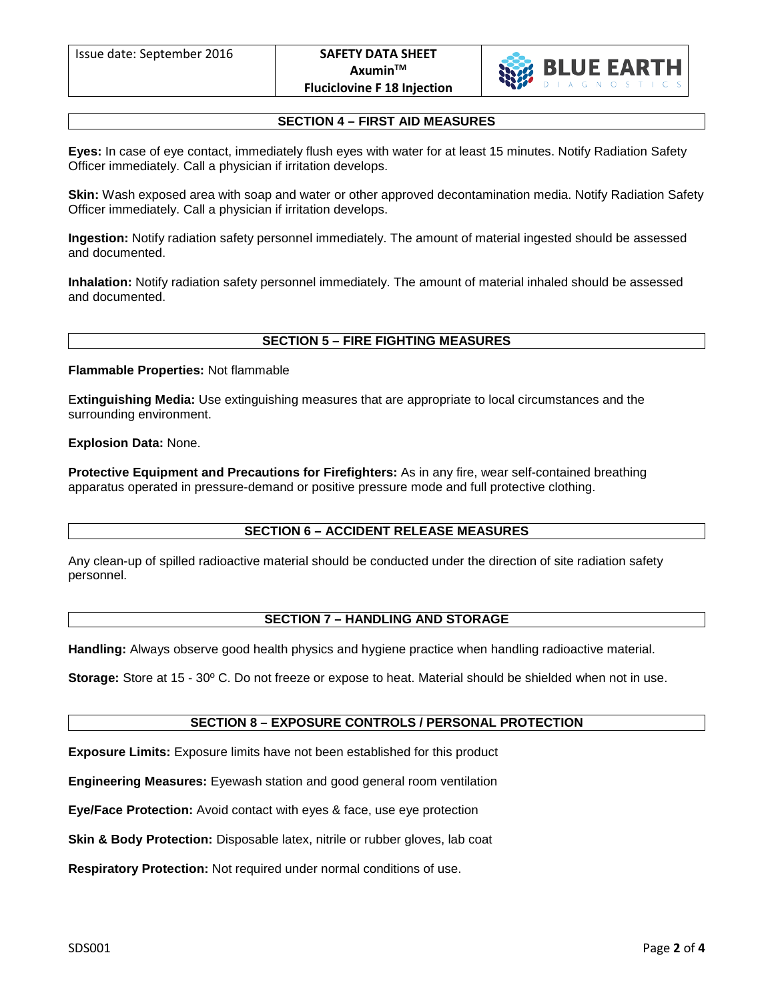

# **SECTION 4 – FIRST AID MEASURES**

**Eyes:** In case of eye contact, immediately flush eyes with water for at least 15 minutes. Notify Radiation Safety Officer immediately. Call a physician if irritation develops.

**Skin:** Wash exposed area with soap and water or other approved decontamination media. Notify Radiation Safety Officer immediately. Call a physician if irritation develops.

**Ingestion:** Notify radiation safety personnel immediately. The amount of material ingested should be assessed and documented.

**Inhalation:** Notify radiation safety personnel immediately. The amount of material inhaled should be assessed and documented.

# **SECTION 5 – FIRE FIGHTING MEASURES**

#### **Flammable Properties:** Not flammable

E**xtinguishing Media:** Use extinguishing measures that are appropriate to local circumstances and the surrounding environment.

### **Explosion Data:** None.

**Protective Equipment and Precautions for Firefighters:** As in any fire, wear self-contained breathing apparatus operated in pressure-demand or positive pressure mode and full protective clothing.

# **SECTION 6 – ACCIDENT RELEASE MEASURES**

Any clean-up of spilled radioactive material should be conducted under the direction of site radiation safety personnel.

# **SECTION 7 – HANDLING AND STORAGE**

**Handling:** Always observe good health physics and hygiene practice when handling radioactive material.

**Storage:** Store at 15 - 30º C. Do not freeze or expose to heat. Material should be shielded when not in use.

# **SECTION 8 – EXPOSURE CONTROLS / PERSONAL PROTECTION**

**Exposure Limits:** Exposure limits have not been established for this product

**Engineering Measures:** Eyewash station and good general room ventilation

**Eye/Face Protection:** Avoid contact with eyes & face, use eye protection

**Skin & Body Protection:** Disposable latex, nitrile or rubber gloves, lab coat

**Respiratory Protection:** Not required under normal conditions of use.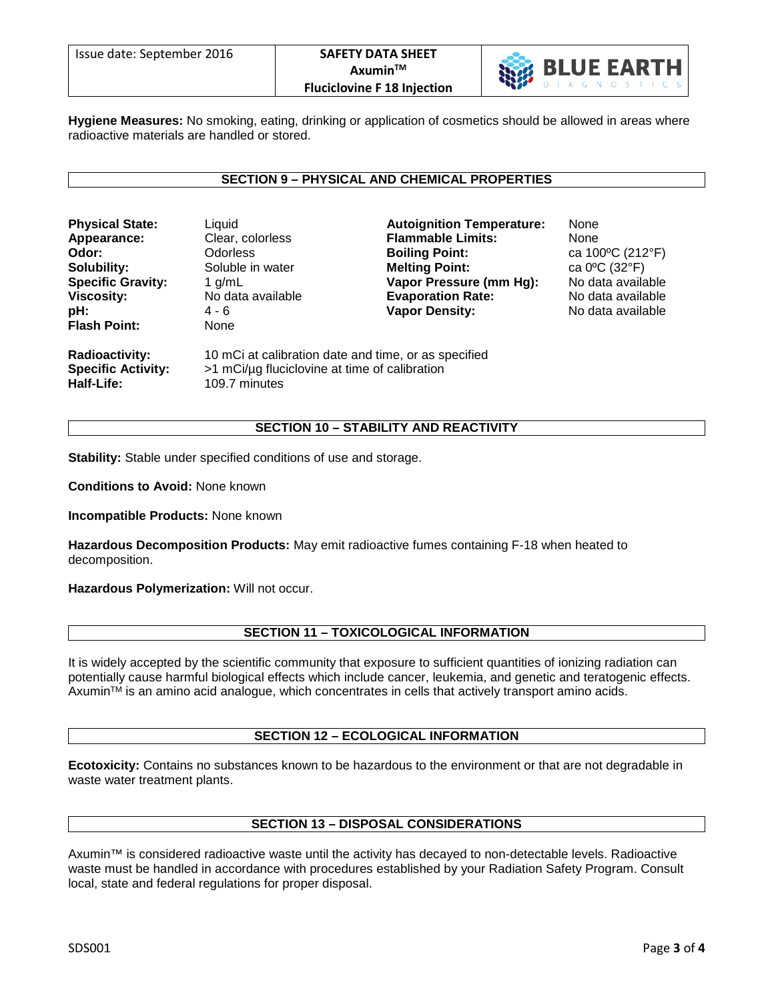

**Hygiene Measures:** No smoking, eating, drinking or application of cosmetics should be allowed in areas where radioactive materials are handled or stored.

### **SECTION 9 – PHYSICAL AND CHEMICAL PROPERTIES**

| <b>Physical State:</b>                             | Liquid                                                                                                | <b>Autoignition Temperature:</b> | None              |
|----------------------------------------------------|-------------------------------------------------------------------------------------------------------|----------------------------------|-------------------|
| Appearance:                                        | Clear, colorless                                                                                      | <b>Flammable Limits:</b>         | None              |
| Odor:                                              | <b>Odorless</b>                                                                                       | <b>Boiling Point:</b>            | ca 100°C (212°F)  |
| Solubility:                                        | Soluble in water                                                                                      | <b>Melting Point:</b>            | ca 0°C (32°F)     |
| <b>Specific Gravity:</b>                           | 1 $g/mL$                                                                                              | Vapor Pressure (mm Hg):          | No data available |
| <b>Viscosity:</b>                                  | No data available                                                                                     | <b>Evaporation Rate:</b>         | No data available |
| pH:                                                | 4 - 6                                                                                                 | <b>Vapor Density:</b>            | No data available |
| <b>Flash Point:</b>                                | None                                                                                                  |                                  |                   |
| <b>Radioactivity:</b><br><b>Specific Activity:</b> | 10 mCi at calibration date and time, or as specified<br>>1 mCi/µg fluciclovine at time of calibration |                                  |                   |
| Half-Life:                                         | 109.7 minutes                                                                                         |                                  |                   |

### **SECTION 10 – STABILITY AND REACTIVITY**

**Stability:** Stable under specified conditions of use and storage.

**Conditions to Avoid:** None known

**Incompatible Products:** None known

**Hazardous Decomposition Products:** May emit radioactive fumes containing F-18 when heated to decomposition.

**Hazardous Polymerization:** Will not occur.

### **SECTION 11 – TOXICOLOGICAL INFORMATION**

It is widely accepted by the scientific community that exposure to sufficient quantities of ionizing radiation can potentially cause harmful biological effects which include cancer, leukemia, and genetic and teratogenic effects.  $A$ xumin $M$  is an amino acid analogue, which concentrates in cells that actively transport amino acids.

### **SECTION 12 – ECOLOGICAL INFORMATION**

**Ecotoxicity:** Contains no substances known to be hazardous to the environment or that are not degradable in waste water treatment plants.

### **SECTION 13 – DISPOSAL CONSIDERATIONS**

Axumin™ is considered radioactive waste until the activity has decayed to non-detectable levels. Radioactive waste must be handled in accordance with procedures established by your Radiation Safety Program. Consult local, state and federal regulations for proper disposal.